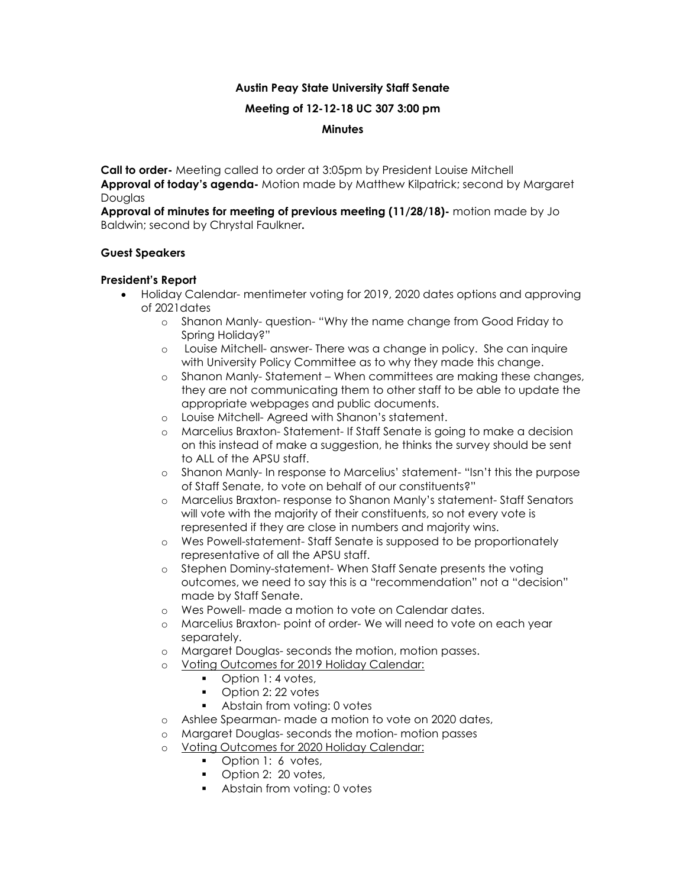## **Austin Peay State University Staff Senate**

#### **Meeting of 12-12-18 UC 307 3:00 pm**

#### **Minutes**

**Call to order-** Meeting called to order at 3:05pm by President Louise Mitchell **Approval of today's agenda-** Motion made by Matthew Kilpatrick; second by Margaret **Douglas** 

**Approval of minutes for meeting of previous meeting (11/28/18)-** motion made by Jo Baldwin; second by Chrystal Faulkner**.**

#### **Guest Speakers**

#### **President's Report**

- Holiday Calendar- mentimeter voting for 2019, 2020 dates options and approving of 2021dates
	- o Shanon Manly- question- "Why the name change from Good Friday to Spring Holiday?"
	- o Louise Mitchell- answer- There was a change in policy. She can inquire with University Policy Committee as to why they made this change.
	- o Shanon Manly- Statement When committees are making these changes, they are not communicating them to other staff to be able to update the appropriate webpages and public documents.
	- o Louise Mitchell- Agreed with Shanon's statement.
	- o Marcelius Braxton- Statement- If Staff Senate is going to make a decision on this instead of make a suggestion, he thinks the survey should be sent to ALL of the APSU staff.
	- o Shanon Manly- In response to Marcelius' statement- "Isn't this the purpose of Staff Senate, to vote on behalf of our constituents?"
	- o Marcelius Braxton- response to Shanon Manly's statement- Staff Senators will vote with the majority of their constituents, so not every vote is represented if they are close in numbers and majority wins.
	- o Wes Powell-statement- Staff Senate is supposed to be proportionately representative of all the APSU staff.
	- o Stephen Dominy-statement- When Staff Senate presents the voting outcomes, we need to say this is a "recommendation" not a "decision" made by Staff Senate.
	- o Wes Powell- made a motion to vote on Calendar dates.
	- o Marcelius Braxton- point of order- We will need to vote on each year separately.
	- o Margaret Douglas- seconds the motion, motion passes.
	- o Voting Outcomes for 2019 Holiday Calendar:
		- Option 1: 4 votes,
		- Option 2: 22 votes
		- Abstain from voting: 0 votes
	- o Ashlee Spearman- made a motion to vote on 2020 dates,
	- o Margaret Douglas- seconds the motion- motion passes
	- o Voting Outcomes for 2020 Holiday Calendar:
		- Option 1: 6 votes,
		- Option 2: 20 votes,
		- **Abstain from voting: 0 votes**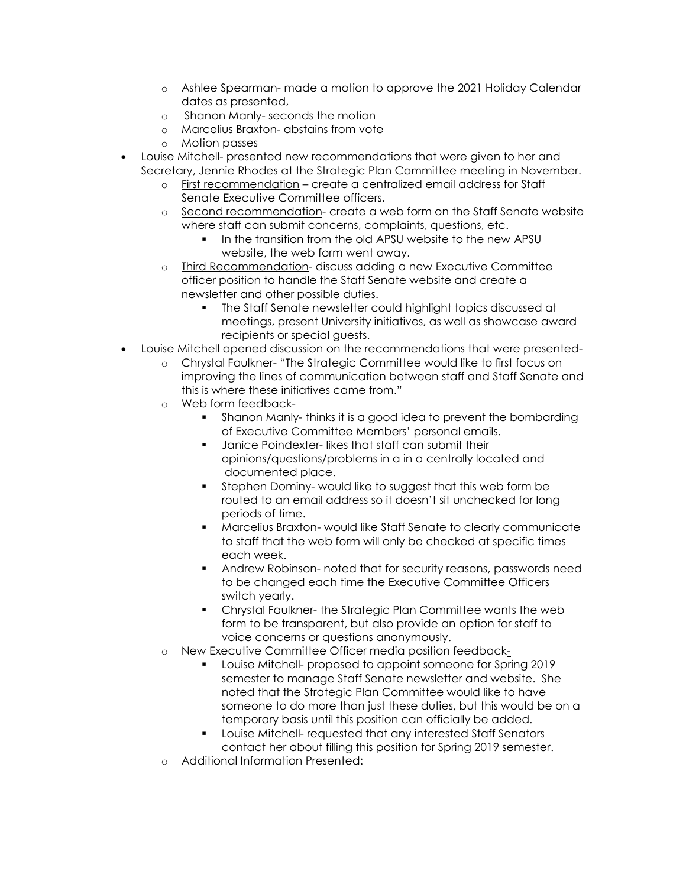- o Ashlee Spearman- made a motion to approve the 2021 Holiday Calendar dates as presented,
- o Shanon Manly- seconds the motion
- o Marcelius Braxton- abstains from vote
- o Motion passes
- Louise Mitchell- presented new recommendations that were given to her and Secretary, Jennie Rhodes at the Strategic Plan Committee meeting in November.
	- o First recommendation create a centralized email address for Staff Senate Executive Committee officers.
	- o Second recommendation- create a web form on the Staff Senate website where staff can submit concerns, complaints, questions, etc.
		- In the transition from the old APSU website to the new APSU website, the web form went away.
	- o Third Recommendation- discuss adding a new Executive Committee officer position to handle the Staff Senate website and create a newsletter and other possible duties.
		- The Staff Senate newsletter could highlight topics discussed at meetings, present University initiatives, as well as showcase award recipients or special guests.
- Louise Mitchell opened discussion on the recommendations that were presented
	- o Chrystal Faulkner- "The Strategic Committee would like to first focus on improving the lines of communication between staff and Staff Senate and this is where these initiatives came from."
	- o Web form feedback-
		- Shanon Manly- thinks it is a good idea to prevent the bombarding of Executive Committee Members' personal emails.
		- **Janice Poindexter- likes that staff can submit their** opinions/questions/problems in a in a centrally located and documented place.
		- Stephen Dominy- would like to suggest that this web form be routed to an email address so it doesn't sit unchecked for long periods of time.
		- Marcelius Braxton- would like Staff Senate to clearly communicate to staff that the web form will only be checked at specific times each week.
		- Andrew Robinson- noted that for security reasons, passwords need to be changed each time the Executive Committee Officers switch yearly.
		- Chrystal Faulkner- the Strategic Plan Committee wants the web form to be transparent, but also provide an option for staff to voice concerns or questions anonymously.
	- o New Executive Committee Officer media position feedback-
		- **Louise Mitchell- proposed to appoint someone for Spring 2019** semester to manage Staff Senate newsletter and website. She noted that the Strategic Plan Committee would like to have someone to do more than just these duties, but this would be on a temporary basis until this position can officially be added.
		- Louise Mitchell- requested that any interested Staff Senators contact her about filling this position for Spring 2019 semester.
	- o Additional Information Presented: